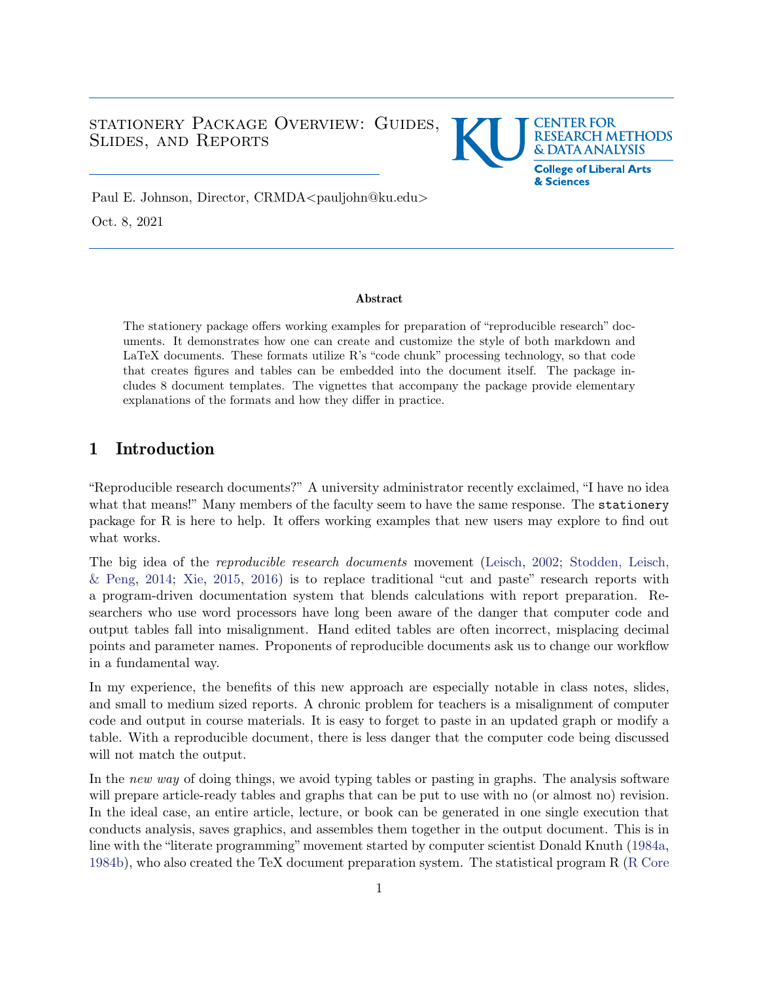## <span id="page-0-0"></span>STATIONERY PACKAGE OVERVIEW: GUIDES, Slides, and Reports



Paul E. Johnson, Director, CRMDA<pauljohn@ku.edu> Oct. 8, 2021

#### Abstract

The stationery package offers working examples for preparation of "reproducible research" documents. It demonstrates how one can create and customize the style of both markdown and LaTeX documents. These formats utilize R's "code chunk" processing technology, so that code that creates figures and tables can be embedded into the document itself. The package includes 8 document templates. The vignettes that accompany the package provide elementary explanations of the formats and how they differ in practice.

# 1 Introduction

"Reproducible research documents?" A university administrator recently exclaimed, "I have no idea what that means!" Many members of the faculty seem to have the same response. The stationery package for R is here to help. It offers working examples that new users may explore to find out what works.

The big idea of the *reproducible research documents* movement [\(Leisch,](#page-19-0) [2002;](#page-19-0) [Stodden, Leisch,](#page-19-1)  $\&$  Peng, [2014;](#page-19-1) [Xie,](#page-19-2) [2015,](#page-19-2) [2016\)](#page-19-3) is to replace traditional "cut and paste" research reports with a program-driven documentation system that blends calculations with report preparation. Researchers who use word processors have long been aware of the danger that computer code and output tables fall into misalignment. Hand edited tables are often incorrect, misplacing decimal points and parameter names. Proponents of reproducible documents ask us to change our workflow in a fundamental way.

In my experience, the benefits of this new approach are especially notable in class notes, slides, and small to medium sized reports. A chronic problem for teachers is a misalignment of computer code and output in course materials. It is easy to forget to paste in an updated graph or modify a table. With a reproducible document, there is less danger that the computer code being discussed will not match the output.

In the *new way* of doing things, we avoid typing tables or pasting in graphs. The analysis software will prepare article-ready tables and graphs that can be put to use with no (or almost no) revision. In the ideal case, an entire article, lecture, or book can be generated in one single execution that conducts analysis, saves graphics, and assembles them together in the output document. This is in line with the "literate programming" movement started by computer scientist Donald Knuth [\(1984a,](#page-18-0) [1984b\)](#page-18-1), who also created the TeX document preparation system. The statistical program R [\(R Core](#page-19-4)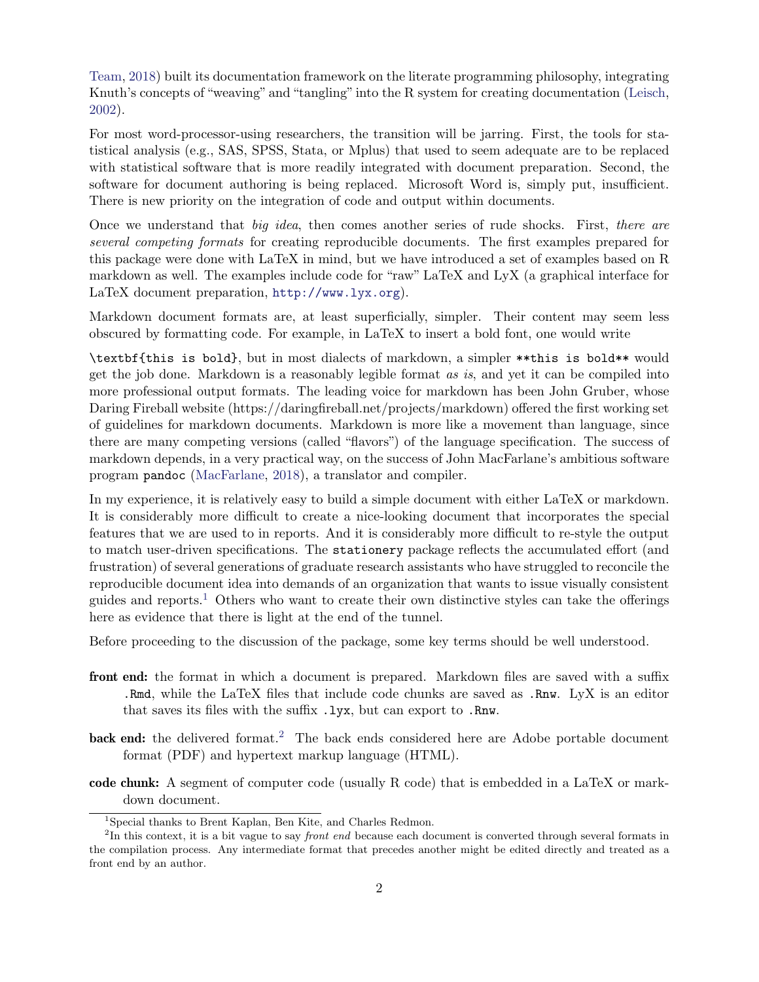[Team,](#page-19-4) [2018\)](#page-19-4) built its documentation framework on the literate programming philosophy, integrating Knuth's concepts of "weaving" and "tangling"into the R system for creating documentation [\(Leisch,](#page-19-0) [2002\)](#page-19-0).

For most word-processor-using researchers, the transition will be jarring. First, the tools for statistical analysis (e.g., SAS, SPSS, Stata, or Mplus) that used to seem adequate are to be replaced with statistical software that is more readily integrated with document preparation. Second, the software for document authoring is being replaced. Microsoft Word is, simply put, insufficient. There is new priority on the integration of code and output within documents.

Once we understand that *big idea*, then comes another series of rude shocks. First, *there are several competing formats* for creating reproducible documents. The first examples prepared for this package were done with LaTeX in mind, but we have introduced a set of examples based on R markdown as well. The examples include code for "raw" LaTeX and LyX (a graphical interface for LaTeX document preparation, <http://www.lyx.org>).

Markdown document formats are, at least superficially, simpler. Their content may seem less obscured by formatting code. For example, in LaTeX to insert a bold font, one would write

\textbf{this is bold}, but in most dialects of markdown, a simpler \*\*this is bold\*\* would get the job done. Markdown is a reasonably legible format *as is*, and yet it can be compiled into more professional output formats. The leading voice for markdown has been John Gruber, whose Daring Fireball website (https://daringfireball.net/projects/markdown) offered the first working set of guidelines for markdown documents. Markdown is more like a movement than language, since there are many competing versions (called "flavors") of the language specification. The success of markdown depends, in a very practical way, on the success of John MacFarlane's ambitious software program pandoc [\(MacFarlane,](#page-19-5) [2018\)](#page-19-5), a translator and compiler.

In my experience, it is relatively easy to build a simple document with either LaTeX or markdown. It is considerably more difficult to create a nice-looking document that incorporates the special features that we are used to in reports. And it is considerably more difficult to re-style the output to match user-driven specifications. The stationery package reflects the accumulated effort (and frustration) of several generations of graduate research assistants who have struggled to reconcile the reproducible document idea into demands of an organization that wants to issue visually consistent guides and reports.<sup>[1](#page-0-0)</sup> Others who want to create their own distinctive styles can take the offerings here as evidence that there is light at the end of the tunnel.

Before proceeding to the discussion of the package, some key terms should be well understood.

- front end: the format in which a document is prepared. Markdown files are saved with a suffix .Rmd, while the LaTeX files that include code chunks are saved as .Rnw. LyX is an editor that saves its files with the suffix .lyx, but can export to .Rnw.
- back end: the delivered format.<sup>[2](#page-0-0)</sup> The back ends considered here are Adobe portable document format (PDF) and hypertext markup language (HTML).
- code chunk: A segment of computer code (usually R code) that is embedded in a LaTeX or markdown document.

<sup>&</sup>lt;sup>1</sup>Special thanks to Brent Kaplan, Ben Kite, and Charles Redmon.

 ${}^{2}\text{In}$  this context, it is a bit vague to say *front end* because each document is converted through several formats in the compilation process. Any intermediate format that precedes another might be edited directly and treated as a front end by an author.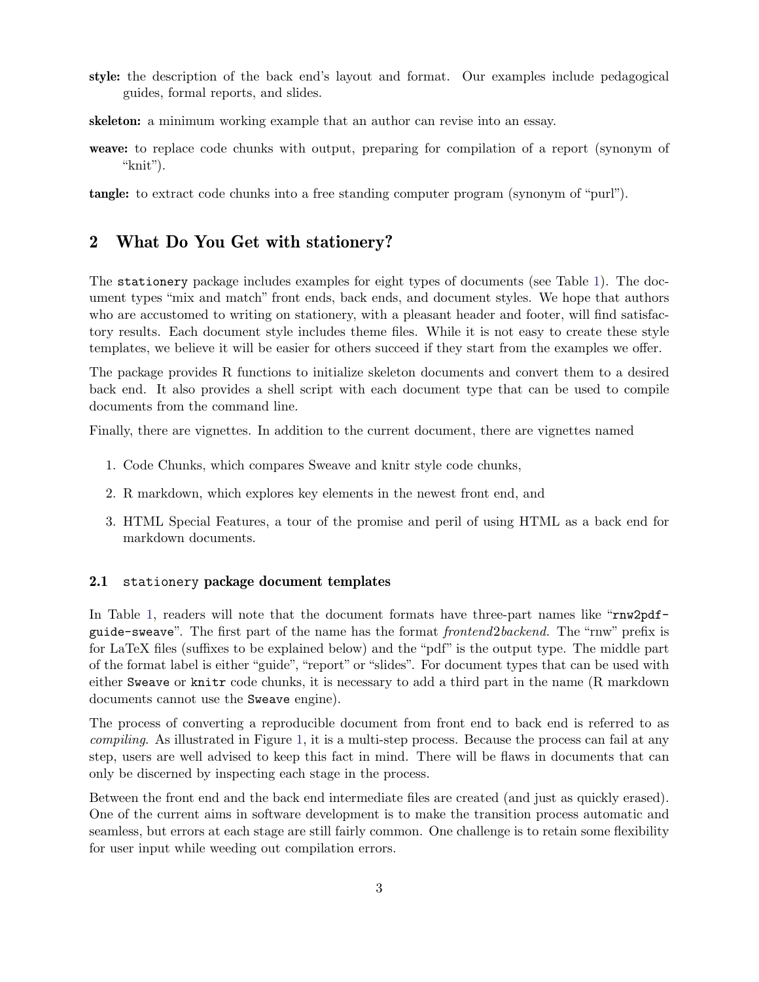- style: the description of the back end's layout and format. Our examples include pedagogical guides, formal reports, and slides.
- skeleton: a minimum working example that an author can revise into an essay.
- weave: to replace code chunks with output, preparing for compilation of a report (synonym of "knit").

tangle: to extract code chunks into a free standing computer program (synonym of "purl").

# 2 What Do You Get with stationery?

The stationery package includes examples for eight types of documents (see Table [1\)](#page-3-0). The document types "mix and match" front ends, back ends, and document styles. We hope that authors who are accustomed to writing on stationery, with a pleasant header and footer, will find satisfactory results. Each document style includes theme files. While it is not easy to create these style templates, we believe it will be easier for others succeed if they start from the examples we offer.

The package provides R functions to initialize skeleton documents and convert them to a desired back end. It also provides a shell script with each document type that can be used to compile documents from the command line.

Finally, there are vignettes. In addition to the current document, there are vignettes named

- 1. Code Chunks, which compares Sweave and knitr style code chunks,
- 2. R markdown, which explores key elements in the newest front end, and
- 3. HTML Special Features, a tour of the promise and peril of using HTML as a back end for markdown documents.

#### 2.1 stationery package document templates

In Table [1,](#page-3-0) readers will note that the document formats have three-part names like "rnw2pdfguide-sweave". The first part of the name has the format *frontend*2*backend.* The "rnw" prefix is for LaTeX files (suffixes to be explained below) and the "pdf" is the output type. The middle part of the format label is either "guide", "report" or "slides". For document types that can be used with either Sweave or knitr code chunks, it is necessary to add a third part in the name (R markdown documents cannot use the Sweave engine).

The process of converting a reproducible document from front end to back end is referred to as *compiling*. As illustrated in Figure [1,](#page-3-1) it is a multi-step process. Because the process can fail at any step, users are well advised to keep this fact in mind. There will be flaws in documents that can only be discerned by inspecting each stage in the process.

Between the front end and the back end intermediate files are created (and just as quickly erased). One of the current aims in software development is to make the transition process automatic and seamless, but errors at each stage are still fairly common. One challenge is to retain some flexibility for user input while weeding out compilation errors.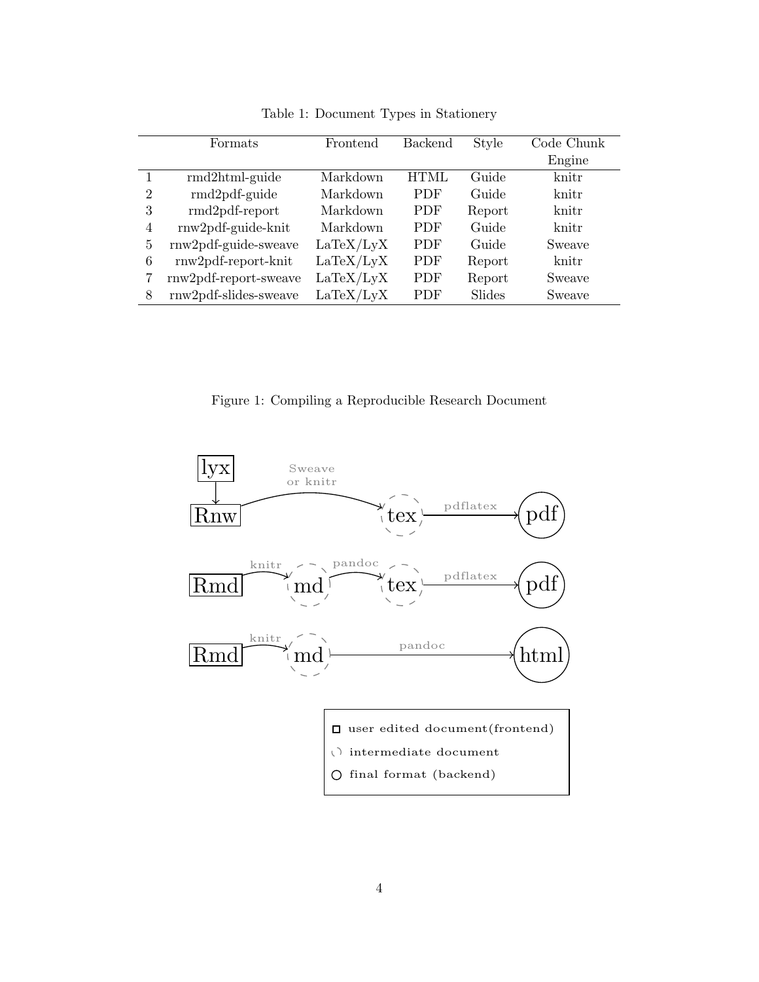<span id="page-3-0"></span>

|                | Formats               | Frontend  | <b>Backend</b> | Style  | Code Chunk |
|----------------|-----------------------|-----------|----------------|--------|------------|
|                |                       |           |                |        | Engine     |
| 1              | $rmd2$ html-guide     | Markdown  | <b>HTML</b>    | Guide  | knitr      |
| $\overline{2}$ | rmd2pdf-guide         | Markdown  | <b>PDF</b>     | Guide  | knitr      |
| 3              | $rmd2pdf-report$      | Markdown  | <b>PDF</b>     | Report | knitr      |
| $\overline{4}$ | rnw2pdf-guide-knit    | Markdown  | <b>PDF</b>     | Guide  | knitr      |
| 5              | rnw2pdf-guide-sweave  | LaTeX/LyX | <b>PDF</b>     | Guide  | Sweave     |
| 6              | $rnw2pdf-report-knit$ | LaTeX/LyX | <b>PDF</b>     | Report | knitr      |
|                | rnw2pdf-report-sweave | LaTeX/LyX | <b>PDF</b>     | Report | Sweave     |
| 8              | rnw2pdf-slides-sweave | LaTeX/LyX | <b>PDF</b>     | Slides | Sweave     |

Table 1: Document Types in Stationery

Figure 1: Compiling a Reproducible Research Document

<span id="page-3-1"></span>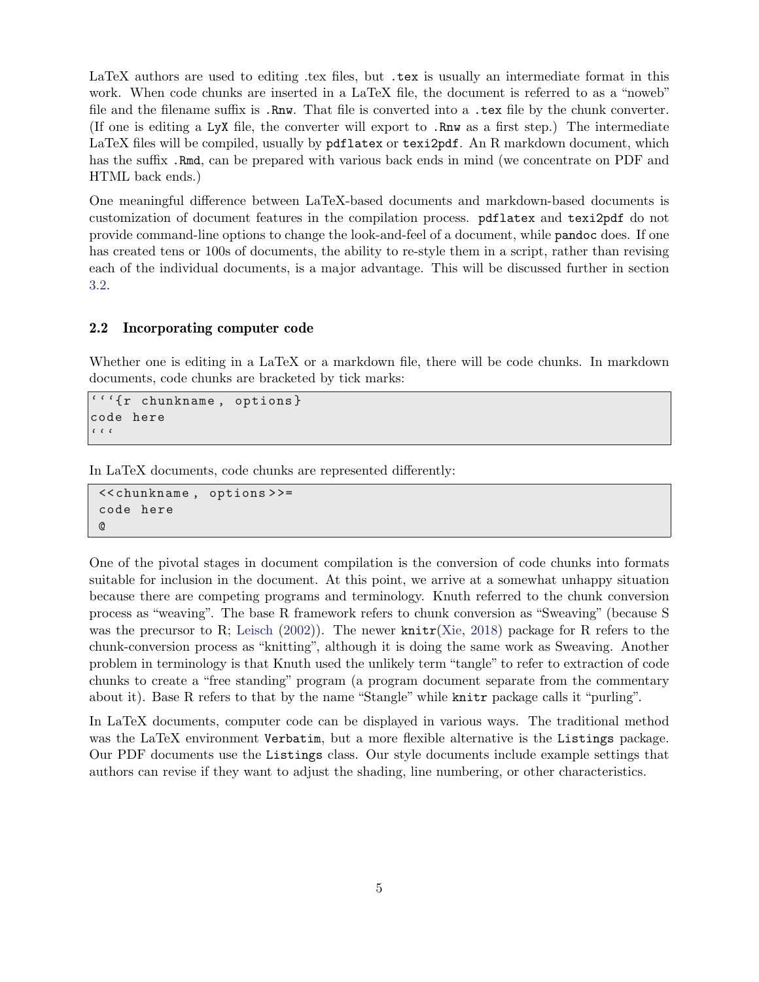LaTeX authors are used to editing .tex files, but .tex is usually an intermediate format in this work. When code chunks are inserted in a LaTeX file, the document is referred to as a "noweb" file and the filename suffix is .Rnw. That file is converted into a .tex file by the chunk converter. (If one is editing a LyX file, the converter will export to .Rnw as a first step.) The intermediate LaTeX files will be compiled, usually by pdflatex or texi2pdf. An R markdown document, which has the suffix. Rmd, can be prepared with various back ends in mind (we concentrate on PDF and HTML back ends.)

One meaningful difference between LaTeX-based documents and markdown-based documents is customization of document features in the compilation process. pdflatex and texi2pdf do not provide command-line options to change the look-and-feel of a document, while pandoc does. If one has created tens or 100s of documents, the ability to re-style them in a script, rather than revising each of the individual documents, is a major advantage. This will be discussed further in section [3.2.](#page-6-0)

#### 2.2 Incorporating computer code

Whether one is editing in a LaTeX or a markdown file, there will be code chunks. In markdown documents, code chunks are bracketed by tick marks:

```
'''{r chunkname , options }
code here
\epsilon \mid \epsilon \mid \epsilon
```
In LaTeX documents, code chunks are represented differently:

```
<< chunkname , options > >=
code here
@
```
One of the pivotal stages in document compilation is the conversion of code chunks into formats suitable for inclusion in the document. At this point, we arrive at a somewhat unhappy situation because there are competing programs and terminology. Knuth referred to the chunk conversion process as "weaving". The base R framework refers to chunk conversion as "Sweaving" (because S was the precursor to R; [Leisch](#page-19-0) [\(2002\)](#page-19-0)). The newer knitr[\(Xie,](#page-19-6) [2018\)](#page-19-6) package for R refers to the chunk-conversion process as "knitting", although it is doing the same work as Sweaving. Another problem in terminology is that Knuth used the unlikely term "tangle" to refer to extraction of code chunks to create a "free standing" program (a program document separate from the commentary about it). Base R refers to that by the name "Stangle" while knitr package calls it "purling".

In LaTeX documents, computer code can be displayed in various ways. The traditional method was the LaTeX environment Verbatim, but a more flexible alternative is the Listings package. Our PDF documents use the Listings class. Our style documents include example settings that authors can revise if they want to adjust the shading, line numbering, or other characteristics.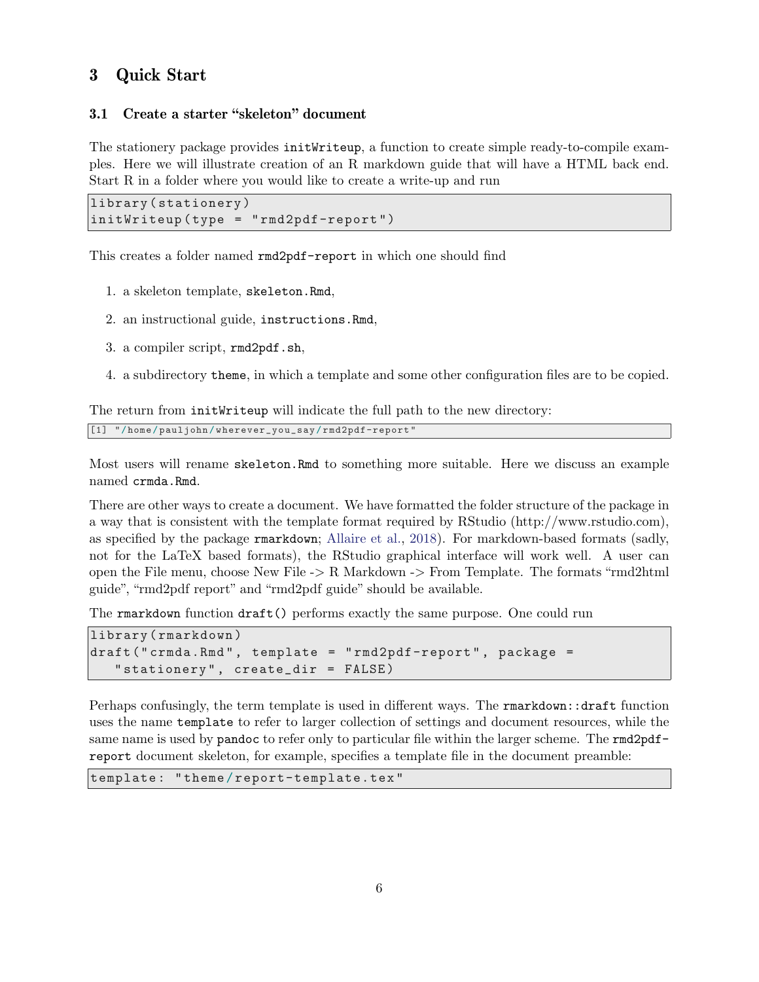# 3 Quick Start

### 3.1 Create a starter "skeleton" document

The stationery package provides initWriteup, a function to create simple ready-to-compile examples. Here we will illustrate creation of an R markdown guide that will have a HTML back end. Start R in a folder where you would like to create a write-up and run

```
library ( stationery )
initWriteup ( type = " rmd2pdf-report ")
```
This creates a folder named rmd2pdf-report in which one should find

- 1. a skeleton template, skeleton.Rmd,
- 2. an instructional guide, instructions.Rmd,
- 3. a compiler script, rmd2pdf.sh,
- 4. a subdirectory theme, in which a template and some other configuration files are to be copied.

The return from initWriteup will indicate the full path to the new directory:

```
[1] "/ home / pauljohn / wherever_you_say / rmd2pdf-report "
```
Most users will rename skeleton.Rmd to something more suitable. Here we discuss an example named crmda.Rmd.

There are other ways to create a document. We have formatted the folder structure of the package in a way that is consistent with the template format required by RStudio (http://www.rstudio.com), as specified by the package rmarkdown; [Allaire et al.,](#page-18-2) [2018\)](#page-18-2). For markdown-based formats (sadly, not for the LaTeX based formats), the RStudio graphical interface will work well. A user can open the File menu, choose New File -> R Markdown -> From Template. The formats "rmd2html guide", "rmd2pdf report" and "rmd2pdf guide" should be available.

The rmarkdown function draft() performs exactly the same purpose. One could run

```
library ( rmarkdown )
draft (" crmda.Rmd", template = "rmd2pdf-report", package =
   " stationery", create_dir = FALSE)
```
Perhaps confusingly, the term template is used in different ways. The rmarkdown::draft function uses the name template to refer to larger collection of settings and document resources, while the same name is used by **pandoc** to refer only to particular file within the larger scheme. The **rmd2pdf**report document skeleton, for example, specifies a template file in the document preamble:

template: "theme/report-template.tex"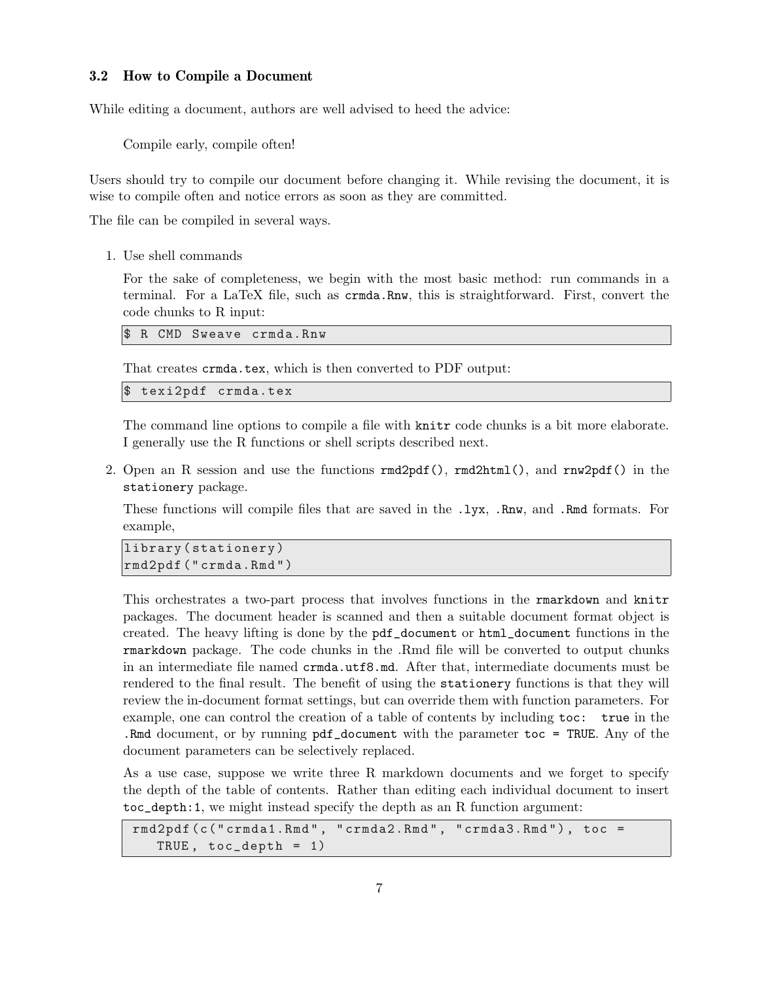#### <span id="page-6-0"></span>3.2 How to Compile a Document

While editing a document, authors are well advised to heed the advice:

Compile early, compile often!

Users should try to compile our document before changing it. While revising the document, it is wise to compile often and notice errors as soon as they are committed.

The file can be compiled in several ways.

1. Use shell commands

For the sake of completeness, we begin with the most basic method: run commands in a terminal. For a LaTeX file, such as crmda.Rnw, this is straightforward. First, convert the code chunks to R input:

R CMD Sweave crmda.Rnw

That creates crmda.tex, which is then converted to PDF output:

texi2pdf crmda.tex

The command line options to compile a file with knitr code chunks is a bit more elaborate. I generally use the R functions or shell scripts described next.

2. Open an R session and use the functions rmd2pdf(), rmd2html(), and rnw2pdf() in the stationery package.

These functions will compile files that are saved in the .lyx, .Rnw, and .Rmd formats. For example,

```
library ( stationery )
rmd2pdf (" crmda.Rmd ")
```
This orchestrates a two-part process that involves functions in the rmarkdown and knitr packages. The document header is scanned and then a suitable document format object is created. The heavy lifting is done by the pdf\_document or html\_document functions in the rmarkdown package. The code chunks in the .Rmd file will be converted to output chunks in an intermediate file named crmda.utf8.md. After that, intermediate documents must be rendered to the final result. The benefit of using the stationery functions is that they will review the in-document format settings, but can override them with function parameters. For example, one can control the creation of a table of contents by including toc: true in the .Rmd document, or by running pdf\_document with the parameter toc = TRUE. Any of the document parameters can be selectively replaced.

As a use case, suppose we write three R markdown documents and we forget to specify the depth of the table of contents. Rather than editing each individual document to insert toc\_depth:1, we might instead specify the depth as an R function argument:

```
rmd2pdf (c("crmda1.Rmd", "crmda2.Rmd", "crmda3.Rmd"), toc =
   TRUE , toc_depth = 1)
```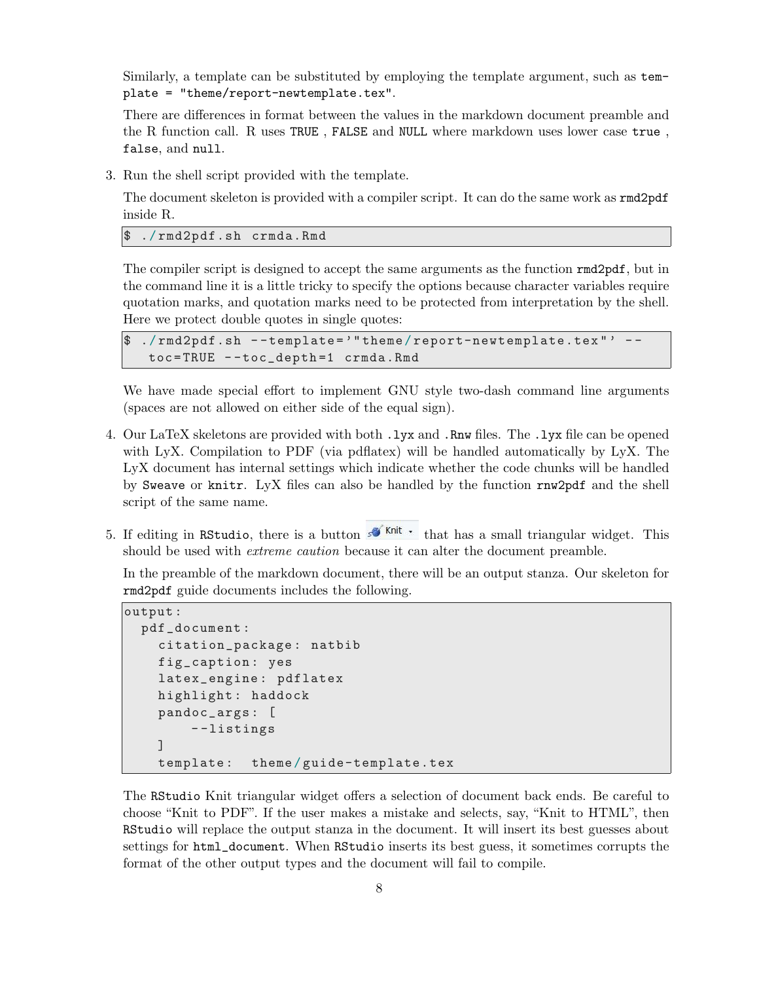Similarly, a template can be substituted by employing the template argument, such as template = "theme/report-newtemplate.tex".

There are differences in format between the values in the markdown document preamble and the R function call. R uses TRUE , FALSE and NULL where markdown uses lower case true , false, and null.

3. Run the shell script provided with the template.

The document skeleton is provided with a compiler script. It can do the same work as  $\text{rmd}2\text{pdf}$ inside R.

./rmd2pdf.sh crmda.Rmd

The compiler script is designed to accept the same arguments as the function rmd2pdf, but in the command line it is a little tricky to specify the options because character variables require quotation marks, and quotation marks need to be protected from interpretation by the shell. Here we protect double quotes in single quotes:

```
1.7 \text{ rad}2pdf.sh --template='"theme/report-newtemplate.tex"' --
 toc = TRUE - - toc_depth =1 crmda.Rmd
```
We have made special effort to implement GNU style two-dash command line arguments (spaces are not allowed on either side of the equal sign).

- 4. Our LaTeX skeletons are provided with both .lyx and .Rnw files. The .lyx file can be opened with LyX. Compilation to PDF (via pdflatex) will be handled automatically by LyX. The LyX document has internal settings which indicate whether the code chunks will be handled by Sweave or knitr. LyX files can also be handled by the function rnw2pdf and the shell script of the same name.
- 5. If editing in RStudio, there is a button  $\mathcal{F}^{\text{Knit}}$  that has a small triangular widget. This should be used with *extreme caution* because it can alter the document preamble.

In the preamble of the markdown document, there will be an output stanza. Our skeleton for rmd2pdf guide documents includes the following.

```
output :
  pdf_document :
    citation_package : natbib
    fig_caption : yes
    latex_engine : pdflatex
    highlight : haddock
    pandoc_args : [
        - - listings
    ]
    template : theme / guide-template.tex
```
The RStudio Knit triangular widget offers a selection of document back ends. Be careful to choose "Knit to PDF". If the user makes a mistake and selects, say, "Knit to HTML", then RStudio will replace the output stanza in the document. It will insert its best guesses about settings for html\_document. When RStudio inserts its best guess, it sometimes corrupts the format of the other output types and the document will fail to compile.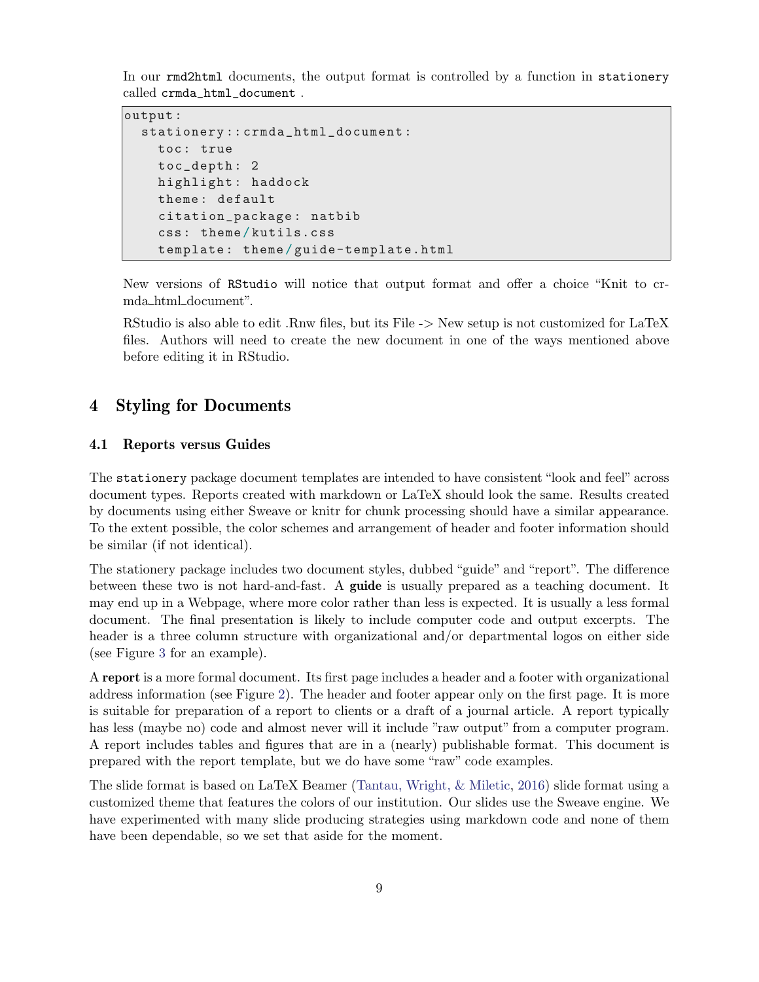In our rmd2html documents, the output format is controlled by a function in stationery called crmda\_html\_document .

```
output :
  stationery :: crmda_html_document :
    toc: true
    toc_depth : 2
    highlight: haddock
    theme : default
    citation_package : natbib
    css : theme / kutils.css
    template : theme / guide-template.html
```
New versions of RStudio will notice that output format and offer a choice "Knit to crmda html document".

RStudio is also able to edit .Rnw files, but its File -> New setup is not customized for LaTeX files. Authors will need to create the new document in one of the ways mentioned above before editing it in RStudio.

## 4 Styling for Documents

#### 4.1 Reports versus Guides

The stationery package document templates are intended to have consistent "look and feel" across document types. Reports created with markdown or LaTeX should look the same. Results created by documents using either Sweave or knitr for chunk processing should have a similar appearance. To the extent possible, the color schemes and arrangement of header and footer information should be similar (if not identical).

The stationery package includes two document styles, dubbed "guide" and "report". The difference between these two is not hard-and-fast. A guide is usually prepared as a teaching document. It may end up in a Webpage, where more color rather than less is expected. It is usually a less formal document. The final presentation is likely to include computer code and output excerpts. The header is a three column structure with organizational and/or departmental logos on either side (see Figure [3](#page-10-0) for an example).

A report is a more formal document. Its first page includes a header and a footer with organizational address information (see Figure [2\)](#page-9-0). The header and footer appear only on the first page. It is more is suitable for preparation of a report to clients or a draft of a journal article. A report typically has less (maybe no) code and almost never will it include "raw output" from a computer program. A report includes tables and figures that are in a (nearly) publishable format. This document is prepared with the report template, but we do have some "raw" code examples.

The slide format is based on LaTeX Beamer [\(Tantau, Wright, & Miletic,](#page-19-7) [2016\)](#page-19-7) slide format using a customized theme that features the colors of our institution. Our slides use the Sweave engine. We have experimented with many slide producing strategies using markdown code and none of them have been dependable, so we set that aside for the moment.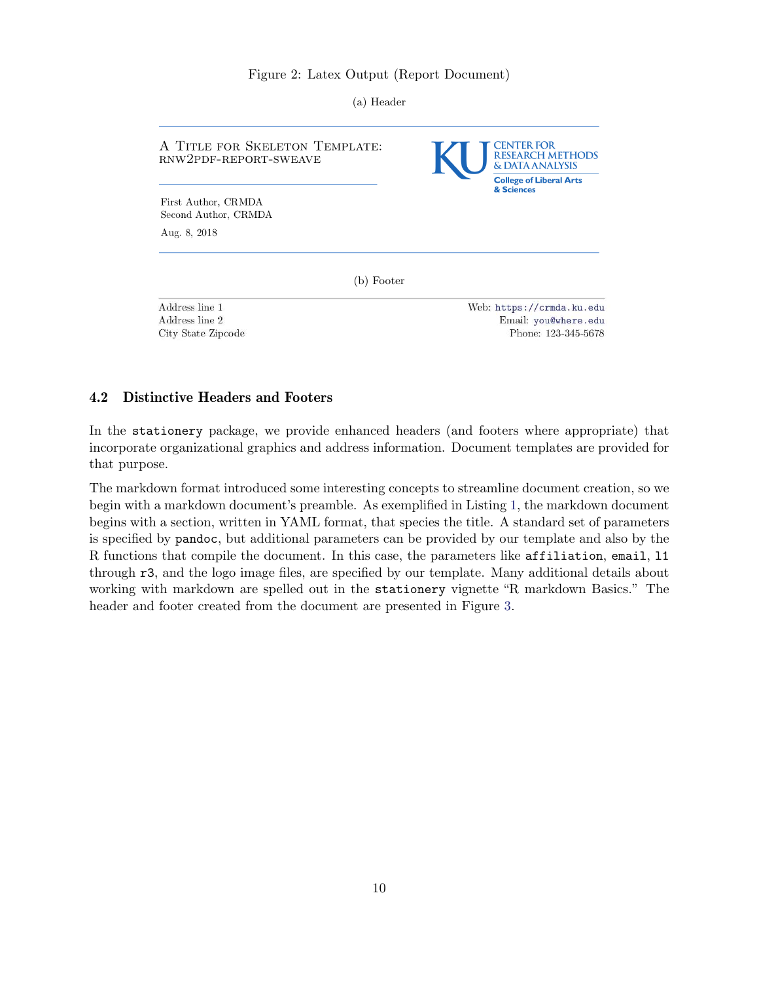#### Figure 2: Latex Output (Report Document)

(a) Header

<span id="page-9-0"></span>

| A TITLE FOR SKELETON TEMPLATE:<br>RNW2PDF-REPORT-SWEAVE | CENTER FOR<br><b>RESEARCH METHODS</b><br><b>&amp; DATA ANALYSIS</b><br><b>College of Liberal Arts</b><br>& Sciences |  |  |
|---------------------------------------------------------|---------------------------------------------------------------------------------------------------------------------|--|--|
| First Author, CRMDA                                     |                                                                                                                     |  |  |
| Second Author, CRMDA                                    |                                                                                                                     |  |  |
| Aug. 8, 2018                                            |                                                                                                                     |  |  |
| (b) Footer                                              |                                                                                                                     |  |  |
| Address line 1                                          | Web: https://crmda.ku.edu                                                                                           |  |  |
| Address line 2                                          | Email: you@where.edu                                                                                                |  |  |
| City State Zipcode                                      | Phone: 123-345-5678                                                                                                 |  |  |

#### 4.2 Distinctive Headers and Footers

In the stationery package, we provide enhanced headers (and footers where appropriate) that incorporate organizational graphics and address information. Document templates are provided for that purpose.

The markdown format introduced some interesting concepts to streamline document creation, so we begin with a markdown document's preamble. As exemplified in Listing [1,](#page-10-1) the markdown document begins with a section, written in YAML format, that species the title. A standard set of parameters is specified by pandoc, but additional parameters can be provided by our template and also by the R functions that compile the document. In this case, the parameters like affiliation, email, l1 through r3, and the logo image files, are specified by our template. Many additional details about working with markdown are spelled out in the stationery vignette "R markdown Basics." The header and footer created from the document are presented in Figure [3.](#page-10-0)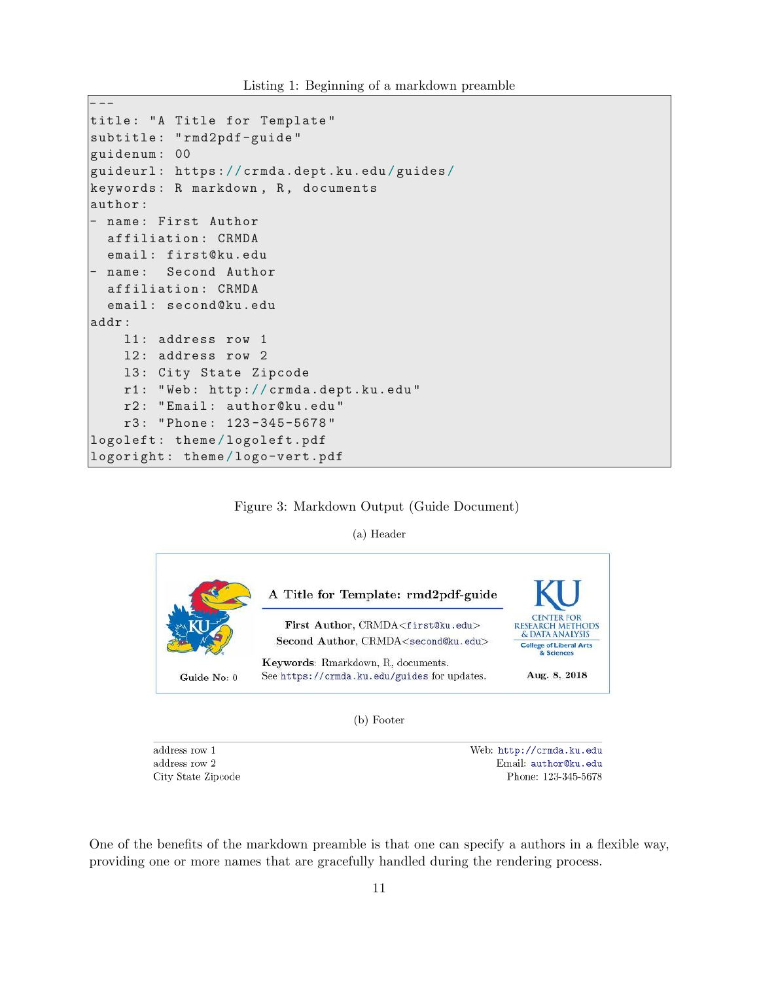Listing 1: Beginning of a markdown preamble

```
- --
title: "A Title for Template"
subtitle : " rmd2pdf-guide "
guidenum : 00
guideurl : https :// crmda.dept.ku.edu / guides /
keywords: R markdown, R, documents
author :
- name : First Author
  affiliation : CRMDA
  email : first@ku.edu
 name: Second Author
  affiliation : CRMDA
  email: second@ku.edu
addr :
    l1 : address row 1
    l2 : address row 2
    l3 : City State Zipcode
    r1 : " Web : http :// crmda.dept.ku.edu "
    r2 : " Email : author@ku.edu "
    r3 : " Phone : 123 -345-5678 "
logoleft : theme / logoleft.pdf
logoright : theme / logo-vert.pdf
```
#### Figure 3: Markdown Output (Guide Document)

(a) Header

<span id="page-10-0"></span>

(b) Footer

address row  $1$ address row  $2\,$ City State Zipcode Web: http://crmda.ku.edu Email: author@ku.edu Phone: 123-345-5678

One of the benefits of the markdown preamble is that one can specify a authors in a flexible way, providing one or more names that are gracefully handled during the rendering process.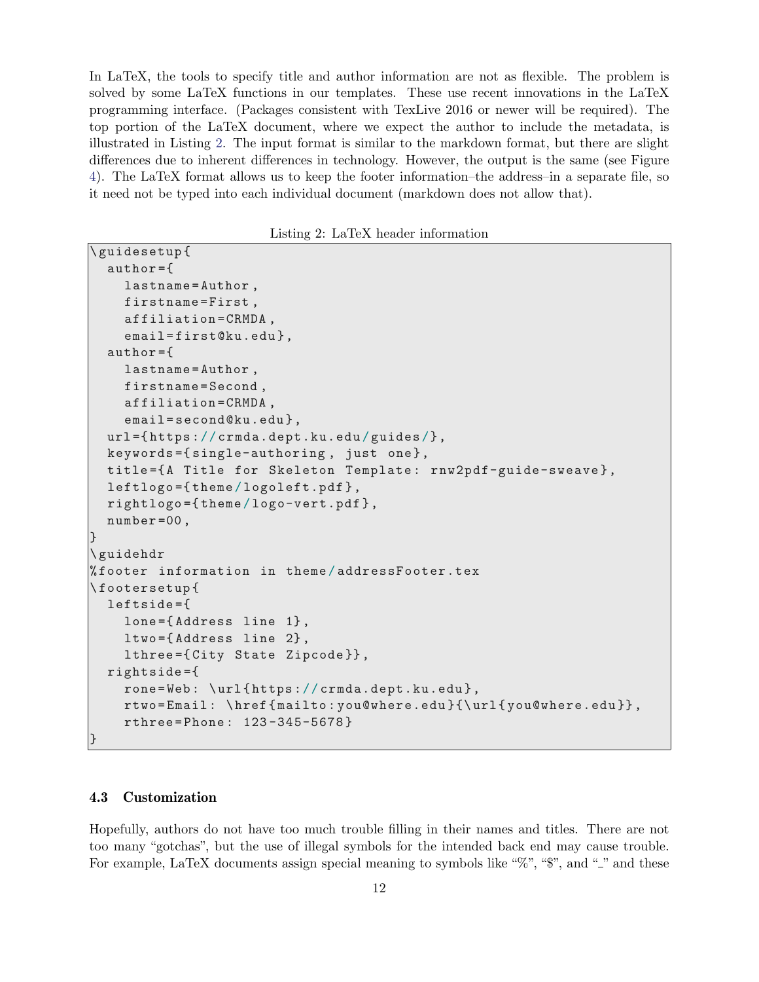In LaTeX, the tools to specify title and author information are not as flexible. The problem is solved by some LaTeX functions in our templates. These use recent innovations in the LaTeX programming interface. (Packages consistent with TexLive 2016 or newer will be required). The top portion of the LaTeX document, where we expect the author to include the metadata, is illustrated in Listing [2.](#page-11-0) The input format is similar to the markdown format, but there are slight differences due to inherent differences in technology. However, the output is the same (see Figure [4\)](#page-12-0). The LaTeX format allows us to keep the footer information–the address–in a separate file, so it need not be typed into each individual document (markdown does not allow that).

Listing 2: LaTeX header information

```
\ guidesetup {
  author ={
    lastname = Author ,
    firstname = First ,
    affiliation = CRMDA ,
    email=first@ku.edu},
  author ={
    lastname = Author ,
    firstname = Second ,
    affiliation = CRMDA ,
    email=second@ku.edu},
  url ={ https :// crmda.dept.ku.edu / guides /},
  keywords ={ single-authoring , just one },
  title ={ A Title for Skeleton Template : rnw2pdf-guide-sweave },
  leftlogo ={ theme / logoleft.pdf },
  rightlogo ={ theme / logo-vert.pdf },
  number =00 ,
}
\ guidehdr
% footer information in theme / addressFooter.tex
\ footersetup {
  leftside ={
    lone ={ Address line 1} ,
    ltwo ={ Address line 2} ,
    lthree ={ City State Zipcode }} ,
  rightside ={
    rone=Web: \url{https://crmda.dept.ku.edu},
    rtwo = Email : \ href { mailto : you@where.edu }{\ url { you@where.edu }} ,
    rthree = Phone : 123 -345-5678 }
}
```
#### 4.3 Customization

Hopefully, authors do not have too much trouble filling in their names and titles. There are not too many "gotchas", but the use of illegal symbols for the intended back end may cause trouble. For example, LaTeX documents assign special meaning to symbols like " $\%$ ", " $\$ ", and "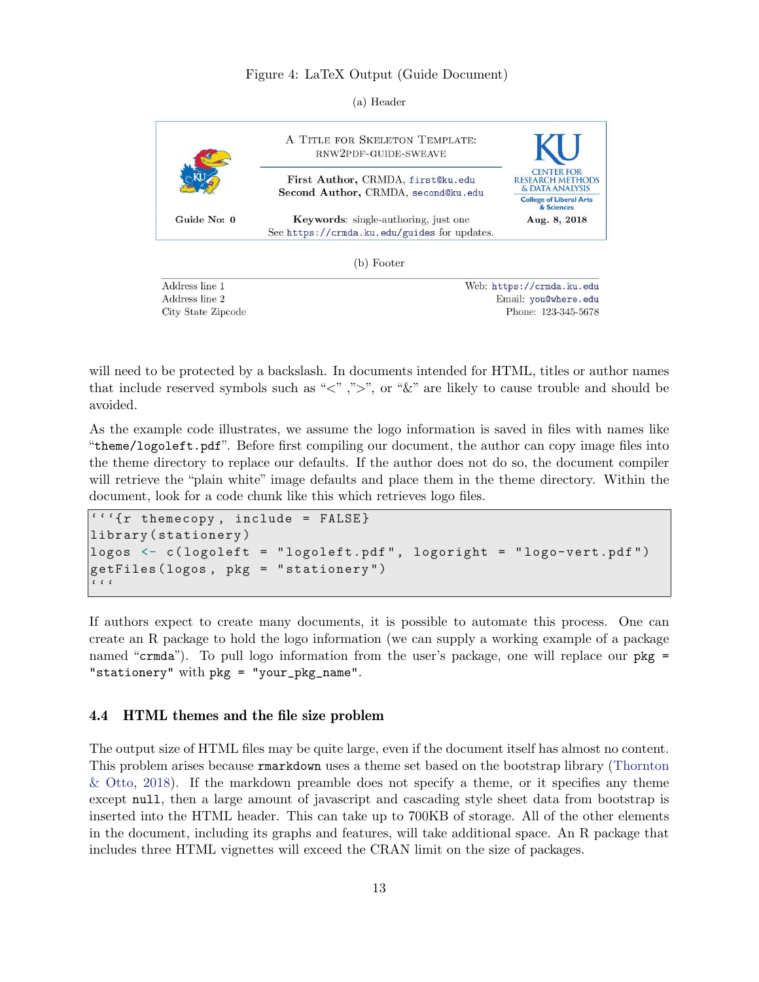#### Figure 4: LaTeX Output (Guide Document)

(a) Header

<span id="page-12-0"></span>

Address line 1 Address line 2 City State Zipcode Web: https://crmda.ku.edu Email: you@where.edu Phone: 123-345-5678

will need to be protected by a backslash. In documents intended for HTML, titles or author names that include reserved symbols such as " $\langle$ ", " $\rangle$ ", or " $\&$ " are likely to cause trouble and should be avoided.

As the example code illustrates, we assume the logo information is saved in files with names like "theme/logoleft.pdf". Before first compiling our document, the author can copy image files into the theme directory to replace our defaults. If the author does not do so, the document compiler will retrieve the "plain white" image defaults and place them in the theme directory. Within the document, look for a code chunk like this which retrieves logo files.

```
'''{r themecopy , include = FALSE }
library ( stationery )
logos <- c( logoleft = " logoleft.pdf " , logoright = " logo-vert.pdf ")
getFiles ( logos , pkg = " stationery ")
\epsilon \, \epsilon \, \epsilon
```
If authors expect to create many documents, it is possible to automate this process. One can create an R package to hold the logo information (we can supply a working example of a package named "crmda"). To pull logo information from the user's package, one will replace our pkg = "stationery" with pkg = "your\_pkg\_name".

#### 4.4 HTML themes and the file size problem

The output size of HTML files may be quite large, even if the document itself has almost no content. This problem arises because rmarkdown uses a theme set based on the bootstrap library [\(Thornton](#page-19-8) [& Otto,](#page-19-8) [2018\)](#page-19-8). If the markdown preamble does not specify a theme, or it specifies any theme except null, then a large amount of javascript and cascading style sheet data from bootstrap is inserted into the HTML header. This can take up to 700KB of storage. All of the other elements in the document, including its graphs and features, will take additional space. An R package that includes three HTML vignettes will exceed the CRAN limit on the size of packages.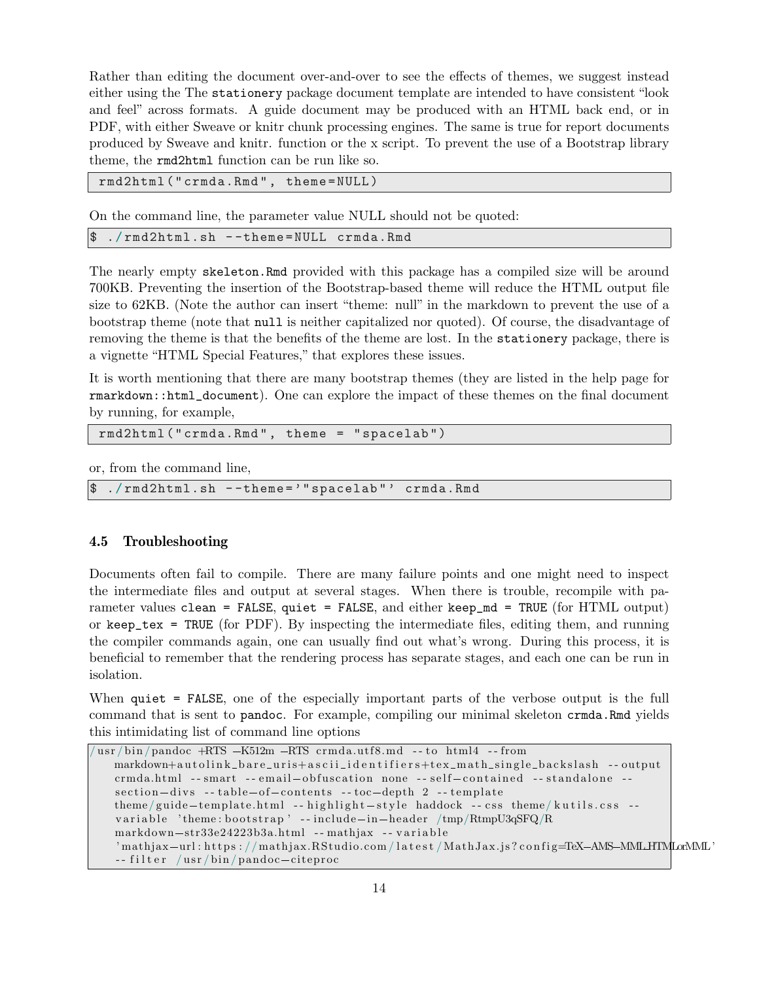Rather than editing the document over-and-over to see the effects of themes, we suggest instead either using the The stationery package document template are intended to have consistent "look and feel" across formats. A guide document may be produced with an HTML back end, or in PDF, with either Sweave or knitr chunk processing engines. The same is true for report documents produced by Sweave and knitr. function or the x script. To prevent the use of a Bootstrap library theme, the rmd2html function can be run like so.

rmd2html (" crmda.Rmd " , theme = NULL )

On the command line, the parameter value NULL should not be quoted:

\$ ./ rmd2html.sh - -theme = NULL crmda.Rmd

The nearly empty skeleton.Rmd provided with this package has a compiled size will be around 700KB. Preventing the insertion of the Bootstrap-based theme will reduce the HTML output file size to 62KB. (Note the author can insert "theme: null" in the markdown to prevent the use of a bootstrap theme (note that null is neither capitalized nor quoted). Of course, the disadvantage of removing the theme is that the benefits of the theme are lost. In the stationery package, there is a vignette "HTML Special Features," that explores these issues.

It is worth mentioning that there are many bootstrap themes (they are listed in the help page for rmarkdown::html\_document). One can explore the impact of these themes on the final document by running, for example,

```
rmd2html (" crmda.Rmd " , theme = " spacelab ")
```
or, from the command line,

```
$ ./ rmd2html.sh - -theme = '" spacelab " ' crmda.Rmd
```
#### 4.5 Troubleshooting

Documents often fail to compile. There are many failure points and one might need to inspect the intermediate files and output at several stages. When there is trouble, recompile with parameter values clean = FALSE, quiet = FALSE, and either keep\_md = TRUE (for HTML output) or keep\_tex = TRUE (for PDF). By inspecting the intermediate files, editing them, and running the compiler commands again, one can usually find out what's wrong. During this process, it is beneficial to remember that the rendering process has separate stages, and each one can be run in isolation.

When quiet = FALSE, one of the especially important parts of the verbose output is the full command that is sent to pandoc. For example, compiling our minimal skeleton crmda.Rmd yields this intimidating list of command line options

```
/usr/bin/pandoc +RTS -K512m -RTS crmda.utf8.md -- to html4 -- from
   markdown+autolink_bare_uris+ascii_identifiers+tex_math_single_backslash -- output
   crmda.html -- smart -- email-obfuscation none -- self-contained -- standalone --
   section-divs --table-of-contents --toc-depth 2 --template
   theme/guide-template.html -- highlight-style haddock -- css theme/kutils.css --
   variable 'theme: bootstrap '-- include-in-header /tmp/RtmpU3qSFQ/R
   markdown-str33e24223b3a.html -- mathjax -- variable
   'mathjax-url : https : //mathjax.RStudio.com/latest/MathJax.js?config=TeX-AMS-MMLHTMLorMML'
   -- filter /usr/bin/pandoc-citeproc
```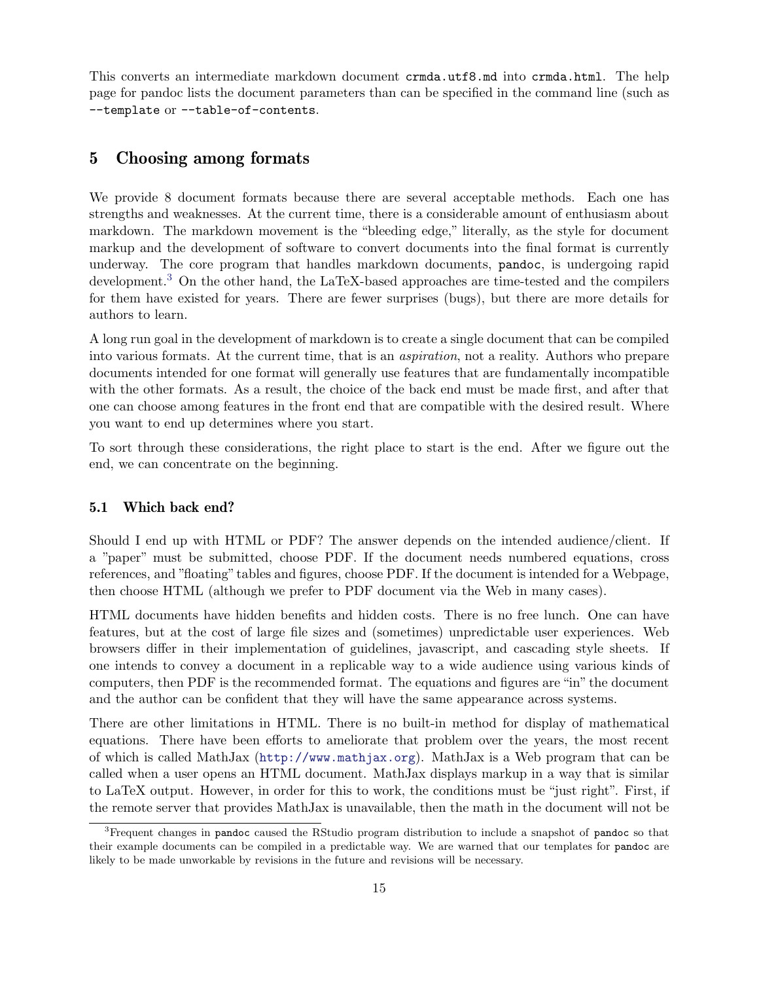This converts an intermediate markdown document crmda.utf8.md into crmda.html. The help page for pandoc lists the document parameters than can be specified in the command line (such as --template or --table-of-contents.

# 5 Choosing among formats

We provide 8 document formats because there are several acceptable methods. Each one has strengths and weaknesses. At the current time, there is a considerable amount of enthusiasm about markdown. The markdown movement is the "bleeding edge," literally, as the style for document markup and the development of software to convert documents into the final format is currently underway. The core program that handles markdown documents, pandoc, is undergoing rapid development.[3](#page-0-0) On the other hand, the LaTeX-based approaches are time-tested and the compilers for them have existed for years. There are fewer surprises (bugs), but there are more details for authors to learn.

A long run goal in the development of markdown is to create a single document that can be compiled into various formats. At the current time, that is an *aspiration*, not a reality. Authors who prepare documents intended for one format will generally use features that are fundamentally incompatible with the other formats. As a result, the choice of the back end must be made first, and after that one can choose among features in the front end that are compatible with the desired result. Where you want to end up determines where you start.

To sort through these considerations, the right place to start is the end. After we figure out the end, we can concentrate on the beginning.

#### 5.1 Which back end?

Should I end up with HTML or PDF? The answer depends on the intended audience/client. If a "paper" must be submitted, choose PDF. If the document needs numbered equations, cross references, and "floating" tables and figures, choose PDF. If the document is intended for a Webpage, then choose HTML (although we prefer to PDF document via the Web in many cases).

HTML documents have hidden benefits and hidden costs. There is no free lunch. One can have features, but at the cost of large file sizes and (sometimes) unpredictable user experiences. Web browsers differ in their implementation of guidelines, javascript, and cascading style sheets. If one intends to convey a document in a replicable way to a wide audience using various kinds of computers, then PDF is the recommended format. The equations and figures are "in" the document and the author can be confident that they will have the same appearance across systems.

There are other limitations in HTML. There is no built-in method for display of mathematical equations. There have been efforts to ameliorate that problem over the years, the most recent of which is called MathJax (<http://www.mathjax.org>). MathJax is a Web program that can be called when a user opens an HTML document. MathJax displays markup in a way that is similar to LaTeX output. However, in order for this to work, the conditions must be "just right". First, if the remote server that provides MathJax is unavailable, then the math in the document will not be

 ${}^{3}$ Frequent changes in pandoc caused the RStudio program distribution to include a snapshot of pandoc so that their example documents can be compiled in a predictable way. We are warned that our templates for pandoc are likely to be made unworkable by revisions in the future and revisions will be necessary.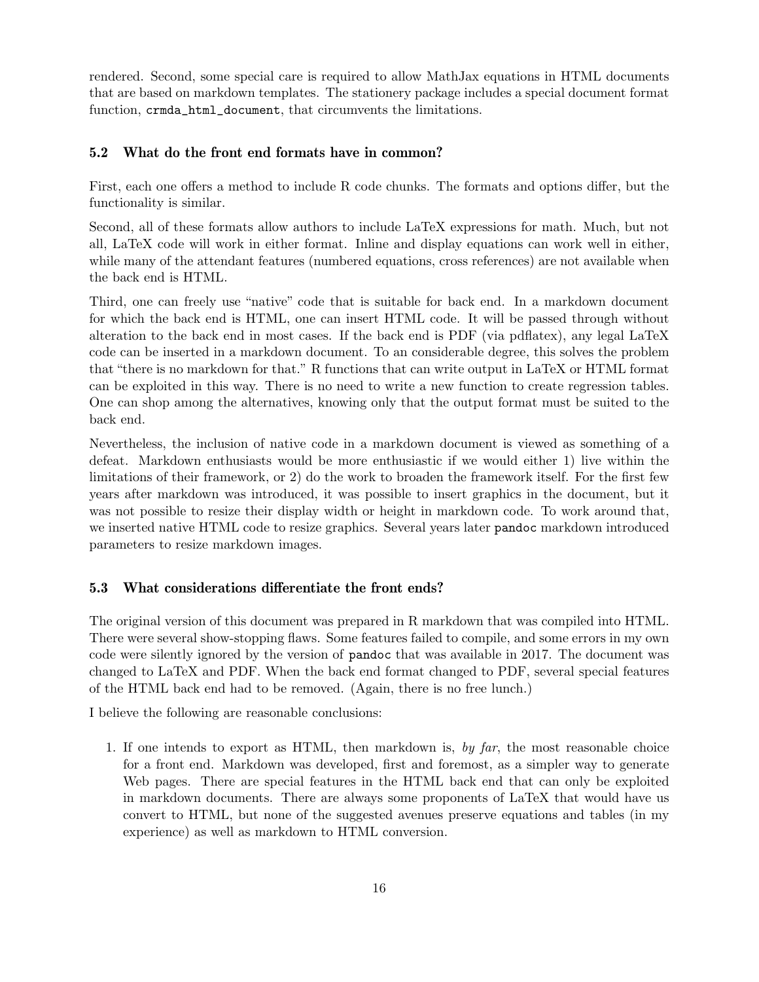rendered. Second, some special care is required to allow MathJax equations in HTML documents that are based on markdown templates. The stationery package includes a special document format function, crmda\_html\_document, that circumvents the limitations.

### 5.2 What do the front end formats have in common?

First, each one offers a method to include R code chunks. The formats and options differ, but the functionality is similar.

Second, all of these formats allow authors to include LaTeX expressions for math. Much, but not all, LaTeX code will work in either format. Inline and display equations can work well in either, while many of the attendant features (numbered equations, cross references) are not available when the back end is HTML.

Third, one can freely use "native" code that is suitable for back end. In a markdown document for which the back end is HTML, one can insert HTML code. It will be passed through without alteration to the back end in most cases. If the back end is PDF (via pdflatex), any legal LaTeX code can be inserted in a markdown document. To an considerable degree, this solves the problem that "there is no markdown for that." R functions that can write output in LaTeX or HTML format can be exploited in this way. There is no need to write a new function to create regression tables. One can shop among the alternatives, knowing only that the output format must be suited to the back end.

Nevertheless, the inclusion of native code in a markdown document is viewed as something of a defeat. Markdown enthusiasts would be more enthusiastic if we would either 1) live within the limitations of their framework, or 2) do the work to broaden the framework itself. For the first few years after markdown was introduced, it was possible to insert graphics in the document, but it was not possible to resize their display width or height in markdown code. To work around that, we inserted native HTML code to resize graphics. Several years later pandoc markdown introduced parameters to resize markdown images.

#### 5.3 What considerations differentiate the front ends?

The original version of this document was prepared in R markdown that was compiled into HTML. There were several show-stopping flaws. Some features failed to compile, and some errors in my own code were silently ignored by the version of pandoc that was available in 2017. The document was changed to LaTeX and PDF. When the back end format changed to PDF, several special features of the HTML back end had to be removed. (Again, there is no free lunch.)

I believe the following are reasonable conclusions:

1. If one intends to export as HTML, then markdown is, *by far*, the most reasonable choice for a front end. Markdown was developed, first and foremost, as a simpler way to generate Web pages. There are special features in the HTML back end that can only be exploited in markdown documents. There are always some proponents of LaTeX that would have us convert to HTML, but none of the suggested avenues preserve equations and tables (in my experience) as well as markdown to HTML conversion.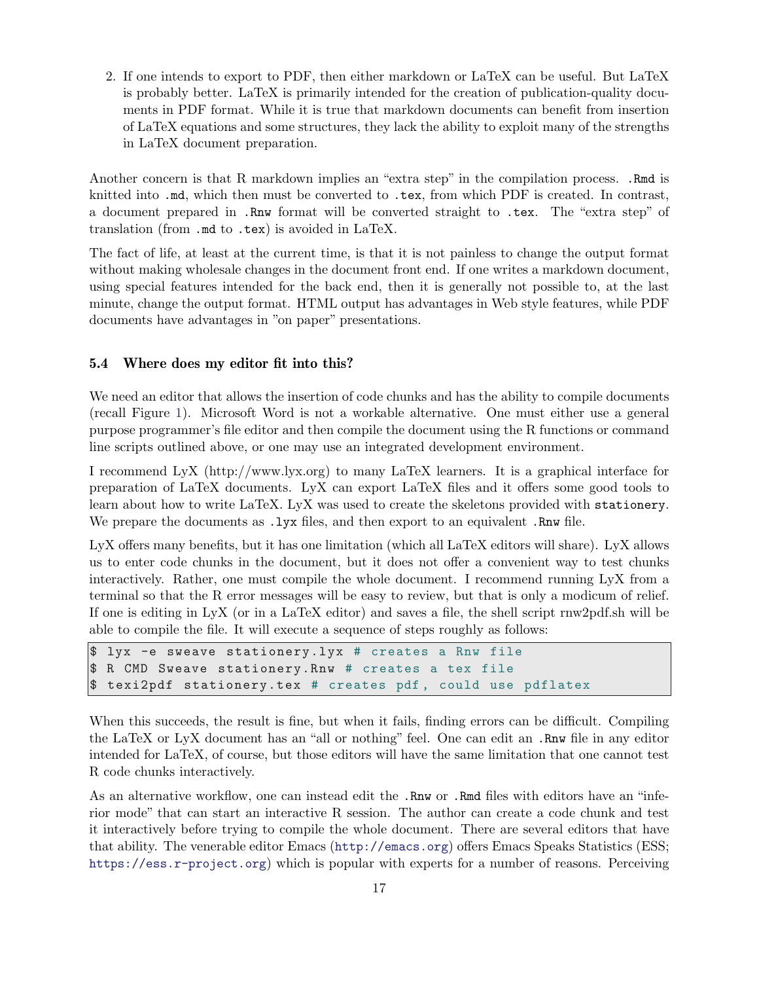2. If one intends to export to PDF, then either markdown or LaTeX can be useful. But LaTeX is probably better. LaTeX is primarily intended for the creation of publication-quality documents in PDF format. While it is true that markdown documents can benefit from insertion of LaTeX equations and some structures, they lack the ability to exploit many of the strengths in LaTeX document preparation.

Another concern is that R markdown implies an "extra step" in the compilation process. .Rmd is knitted into .md, which then must be converted to .tex, from which PDF is created. In contrast, a document prepared in .Rnw format will be converted straight to .tex. The "extra step" of translation (from .md to .tex) is avoided in LaTeX.

The fact of life, at least at the current time, is that it is not painless to change the output format without making wholesale changes in the document front end. If one writes a markdown document, using special features intended for the back end, then it is generally not possible to, at the last minute, change the output format. HTML output has advantages in Web style features, while PDF documents have advantages in "on paper" presentations.

### 5.4 Where does my editor fit into this?

We need an editor that allows the insertion of code chunks and has the ability to compile documents (recall Figure [1\)](#page-3-1). Microsoft Word is not a workable alternative. One must either use a general purpose programmer's file editor and then compile the document using the R functions or command line scripts outlined above, or one may use an integrated development environment.

I recommend LyX (http://www.lyx.org) to many LaTeX learners. It is a graphical interface for preparation of LaTeX documents. LyX can export LaTeX files and it offers some good tools to learn about how to write LaTeX. LyX was used to create the skeletons provided with stationery. We prepare the documents as  $.1$ yx files, and then export to an equivalent .Rnw file.

LyX offers many benefits, but it has one limitation (which all LaTeX editors will share). LyX allows us to enter code chunks in the document, but it does not offer a convenient way to test chunks interactively. Rather, one must compile the whole document. I recommend running LyX from a terminal so that the R error messages will be easy to review, but that is only a modicum of relief. If one is editing in LyX (or in a LaTeX editor) and saves a file, the shell script rnw2pdf.sh will be able to compile the file. It will execute a sequence of steps roughly as follows:

```
$ lyx -e sweave stationery.lyx # creates a Rnw file
$ R CMD Sweave stationery.Rnw # creates a tex file
$ texi2pdf stationery.tex # creates pdf , could use pdflatex
```
When this succeeds, the result is fine, but when it fails, finding errors can be difficult. Compiling the LaTeX or LyX document has an "all or nothing" feel. One can edit an .Rnw file in any editor intended for LaTeX, of course, but those editors will have the same limitation that one cannot test R code chunks interactively.

As an alternative workflow, one can instead edit the .Rnw or .Rmd files with editors have an "inferior mode" that can start an interactive R session. The author can create a code chunk and test it interactively before trying to compile the whole document. There are several editors that have that ability. The venerable editor Emacs (<http://emacs.org>) offers Emacs Speaks Statistics (ESS; <https://ess.r-project.org>) which is popular with experts for a number of reasons. Perceiving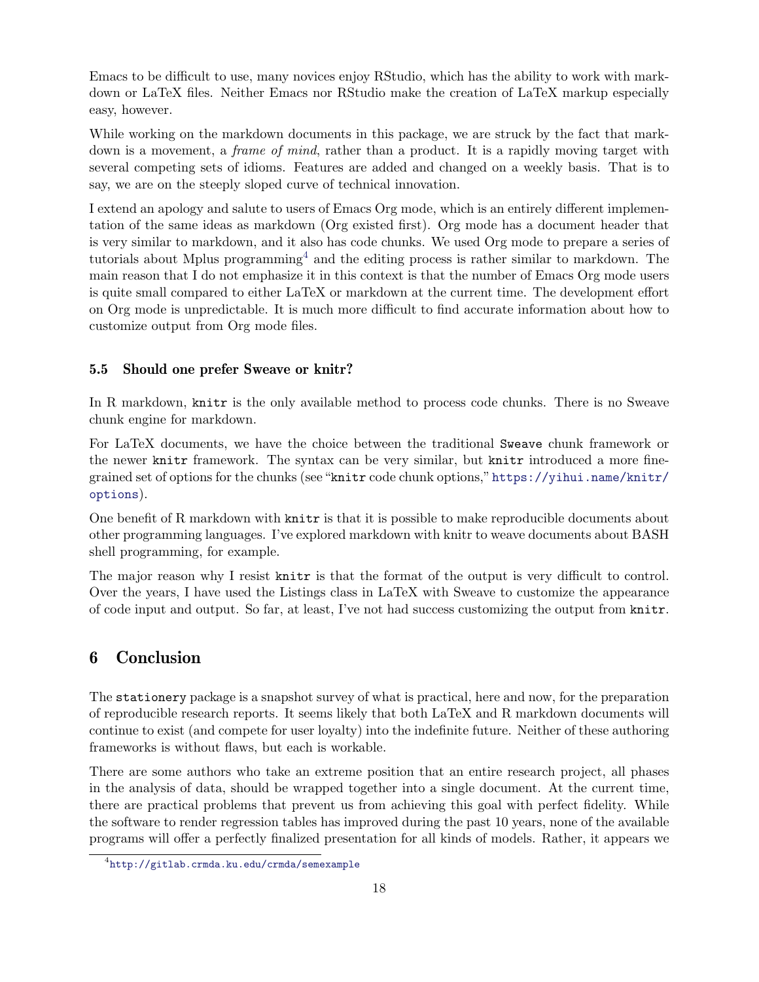Emacs to be difficult to use, many novices enjoy RStudio, which has the ability to work with markdown or LaTeX files. Neither Emacs nor RStudio make the creation of LaTeX markup especially easy, however.

While working on the markdown documents in this package, we are struck by the fact that markdown is a movement, a *frame of mind*, rather than a product. It is a rapidly moving target with several competing sets of idioms. Features are added and changed on a weekly basis. That is to say, we are on the steeply sloped curve of technical innovation.

I extend an apology and salute to users of Emacs Org mode, which is an entirely different implementation of the same ideas as markdown (Org existed first). Org mode has a document header that is very similar to markdown, and it also has code chunks. We used Org mode to prepare a series of tutorials about Mplus programming<sup>[4](#page-0-0)</sup> and the editing process is rather similar to markdown. The main reason that I do not emphasize it in this context is that the number of Emacs Org mode users is quite small compared to either LaTeX or markdown at the current time. The development effort on Org mode is unpredictable. It is much more difficult to find accurate information about how to customize output from Org mode files.

#### 5.5 Should one prefer Sweave or knitr?

In R markdown, knitr is the only available method to process code chunks. There is no Sweave chunk engine for markdown.

For LaTeX documents, we have the choice between the traditional Sweave chunk framework or the newer knitr framework. The syntax can be very similar, but knitr introduced a more finegrained set of options for the chunks (see "knitr code chunk options,"[https://yihui.name/knitr/](https://yihui.name/knitr/options) [options](https://yihui.name/knitr/options)).

One benefit of R markdown with knitr is that it is possible to make reproducible documents about other programming languages. I've explored markdown with knitr to weave documents about BASH shell programming, for example.

The major reason why I resist knitr is that the format of the output is very difficult to control. Over the years, I have used the Listings class in LaTeX with Sweave to customize the appearance of code input and output. So far, at least, I've not had success customizing the output from knitr.

### 6 Conclusion

The stationery package is a snapshot survey of what is practical, here and now, for the preparation of reproducible research reports. It seems likely that both LaTeX and R markdown documents will continue to exist (and compete for user loyalty) into the indefinite future. Neither of these authoring frameworks is without flaws, but each is workable.

There are some authors who take an extreme position that an entire research project, all phases in the analysis of data, should be wrapped together into a single document. At the current time, there are practical problems that prevent us from achieving this goal with perfect fidelity. While the software to render regression tables has improved during the past 10 years, none of the available programs will offer a perfectly finalized presentation for all kinds of models. Rather, it appears we

<sup>4</sup> <http://gitlab.crmda.ku.edu/crmda/semexample>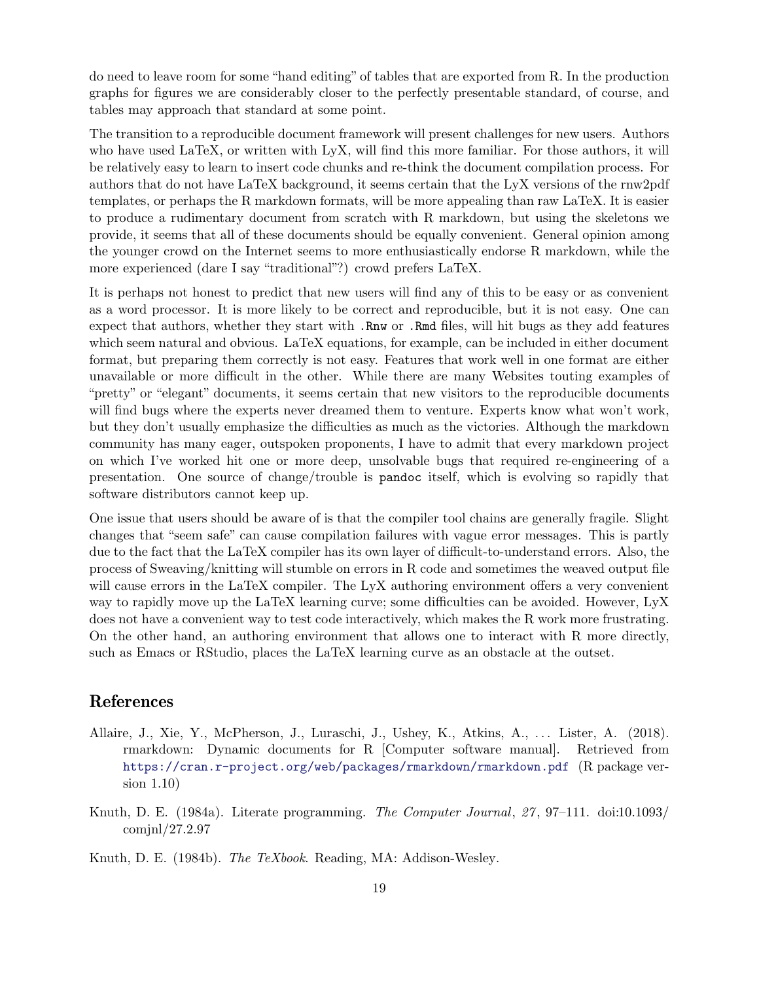do need to leave room for some "hand editing" of tables that are exported from R. In the production graphs for figures we are considerably closer to the perfectly presentable standard, of course, and tables may approach that standard at some point.

The transition to a reproducible document framework will present challenges for new users. Authors who have used LaTeX, or written with LyX, will find this more familiar. For those authors, it will be relatively easy to learn to insert code chunks and re-think the document compilation process. For authors that do not have LaTeX background, it seems certain that the LyX versions of the rnw2pdf templates, or perhaps the R markdown formats, will be more appealing than raw LaTeX. It is easier to produce a rudimentary document from scratch with R markdown, but using the skeletons we provide, it seems that all of these documents should be equally convenient. General opinion among the younger crowd on the Internet seems to more enthusiastically endorse R markdown, while the more experienced (dare I say "traditional"?) crowd prefers LaTeX.

It is perhaps not honest to predict that new users will find any of this to be easy or as convenient as a word processor. It is more likely to be correct and reproducible, but it is not easy. One can expect that authors, whether they start with .Rnw or .Rmd files, will hit bugs as they add features which seem natural and obvious. LaTeX equations, for example, can be included in either document format, but preparing them correctly is not easy. Features that work well in one format are either unavailable or more difficult in the other. While there are many Websites touting examples of "pretty" or "elegant" documents, it seems certain that new visitors to the reproducible documents will find bugs where the experts never dreamed them to venture. Experts know what won't work, but they don't usually emphasize the difficulties as much as the victories. Although the markdown community has many eager, outspoken proponents, I have to admit that every markdown project on which I've worked hit one or more deep, unsolvable bugs that required re-engineering of a presentation. One source of change/trouble is pandoc itself, which is evolving so rapidly that software distributors cannot keep up.

One issue that users should be aware of is that the compiler tool chains are generally fragile. Slight changes that "seem safe" can cause compilation failures with vague error messages. This is partly due to the fact that the LaTeX compiler has its own layer of difficult-to-understand errors. Also, the process of Sweaving/knitting will stumble on errors in R code and sometimes the weaved output file will cause errors in the LaTeX compiler. The LyX authoring environment offers a very convenient way to rapidly move up the LaTeX learning curve; some difficulties can be avoided. However, LyX does not have a convenient way to test code interactively, which makes the R work more frustrating. On the other hand, an authoring environment that allows one to interact with R more directly, such as Emacs or RStudio, places the LaTeX learning curve as an obstacle at the outset.

### References

- <span id="page-18-2"></span>Allaire, J., Xie, Y., McPherson, J., Luraschi, J., Ushey, K., Atkins, A., ... Lister, A. (2018). rmarkdown: Dynamic documents for R [Computer software manual]. Retrieved from <https://cran.r-project.org/web/packages/rmarkdown/rmarkdown.pdf> (R package version 1.10)
- <span id="page-18-0"></span>Knuth, D. E. (1984a). Literate programming. *The Computer Journal*, *27* , 97–111. doi:10.1093/ comjnl/27.2.97

<span id="page-18-1"></span>Knuth, D. E. (1984b). *The TeXbook*. Reading, MA: Addison-Wesley.